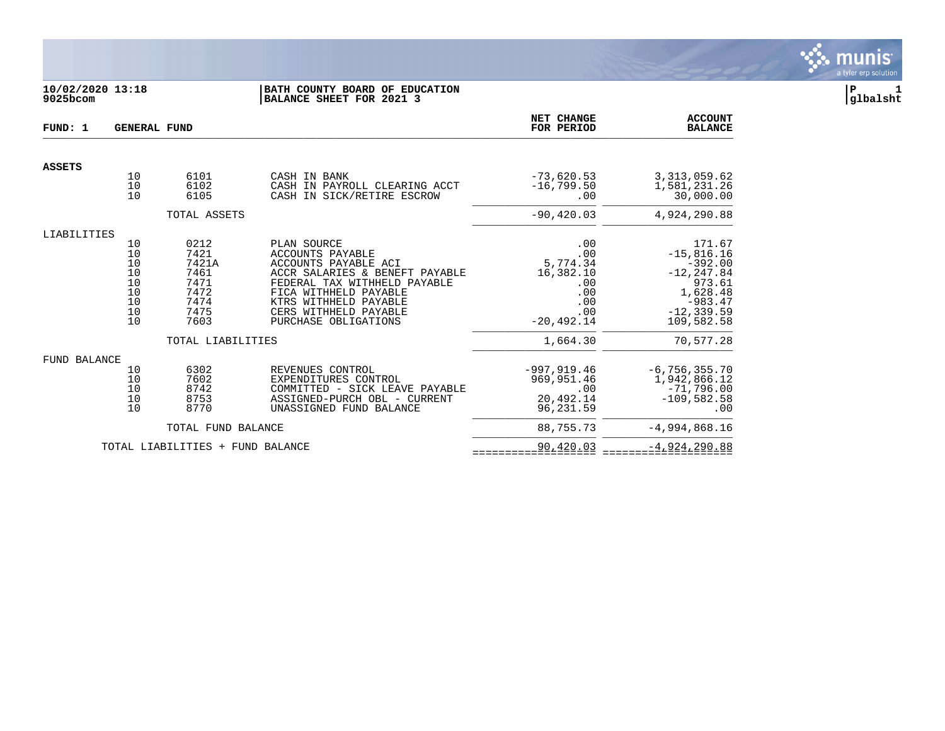

# **10/02/2020 13:18 |BATH COUNTY BOARD OF EDUCATION |P 1 9025bcom |BALANCE SHEET FOR 2021 3 |glbalsht**

| FUND: 1             | <b>GENERAL FUND</b>                                |                                                                                            |                                                                                                                                                                                                                                     | NET CHANGE<br>FOR PERIOD                                                        | <b>ACCOUNT</b><br><b>BALANCE</b>                                                                                       |
|---------------------|----------------------------------------------------|--------------------------------------------------------------------------------------------|-------------------------------------------------------------------------------------------------------------------------------------------------------------------------------------------------------------------------------------|---------------------------------------------------------------------------------|------------------------------------------------------------------------------------------------------------------------|
| <b>ASSETS</b>       |                                                    |                                                                                            |                                                                                                                                                                                                                                     |                                                                                 |                                                                                                                        |
|                     | 10<br>10<br>10                                     | 6101<br>6102<br>6105                                                                       | CASH IN BANK<br>CASH IN PAYROLL CLEARING ACCT<br>CASH IN SICK/RETIRE ESCROW                                                                                                                                                         | $-73,620.53$<br>$-16,799.50$<br>.00                                             | 3, 313, 059.62<br>1,581,231.26<br>30,000.00                                                                            |
|                     |                                                    | TOTAL ASSETS                                                                               |                                                                                                                                                                                                                                     | $-90, 420.03$                                                                   | 4,924,290.88                                                                                                           |
| LIABILITIES         |                                                    |                                                                                            |                                                                                                                                                                                                                                     |                                                                                 |                                                                                                                        |
|                     | 10<br>10<br>10<br>10<br>10<br>10<br>10<br>10<br>10 | 0212<br>7421<br>7421A<br>7461<br>7471<br>7472<br>7474<br>7475<br>7603<br>TOTAL LIABILITIES | PLAN SOURCE<br><b>ACCOUNTS PAYABLE</b><br>ACCOUNTS PAYABLE ACI<br>ACCR SALARIES & BENEFT PAYABLE<br>FEDERAL TAX WITHHELD PAYABLE<br>FICA WITHHELD PAYABLE<br>KTRS WITHHELD PAYABLE<br>CERS WITHHELD PAYABLE<br>PURCHASE OBLIGATIONS | .00<br>.00<br>5,774.34<br>16,382.10<br>.00<br>.00<br>.00<br>.00<br>$-20.492.14$ | 171.67<br>$-15,816.16$<br>$-392.00$<br>$-12, 247.84$<br>973.61<br>1,628.48<br>$-983.47$<br>$-12, 339.59$<br>109,582.58 |
|                     |                                                    |                                                                                            |                                                                                                                                                                                                                                     | 1,664.30                                                                        | 70,577.28                                                                                                              |
| <b>FUND BALANCE</b> | 10<br>10<br>10<br>10<br>10                         | 6302<br>7602<br>8742<br>8753<br>8770                                                       | REVENUES CONTROL<br>EXPENDITURES CONTROL<br>COMMITTED - SICK LEAVE PAYABLE<br>ASSIGNED-PURCH OBL - CURRENT<br>UNASSIGNED FUND BALANCE                                                                                               | $-997, 919.46$<br>969, 951.46<br>.00<br>20,492.14<br>96,231.59                  | $-6, 756, 355.70$<br>1,942,866.12<br>$-71,796.00$<br>$-109,582.58$<br>.00                                              |
|                     |                                                    | TOTAL FUND BALANCE                                                                         |                                                                                                                                                                                                                                     | 88,755.73                                                                       | $-4,994,868.16$                                                                                                        |
|                     |                                                    | TOTAL LIABILITIES + FUND BALANCE                                                           |                                                                                                                                                                                                                                     | 90,420.03                                                                       | $-4,924,290.88$                                                                                                        |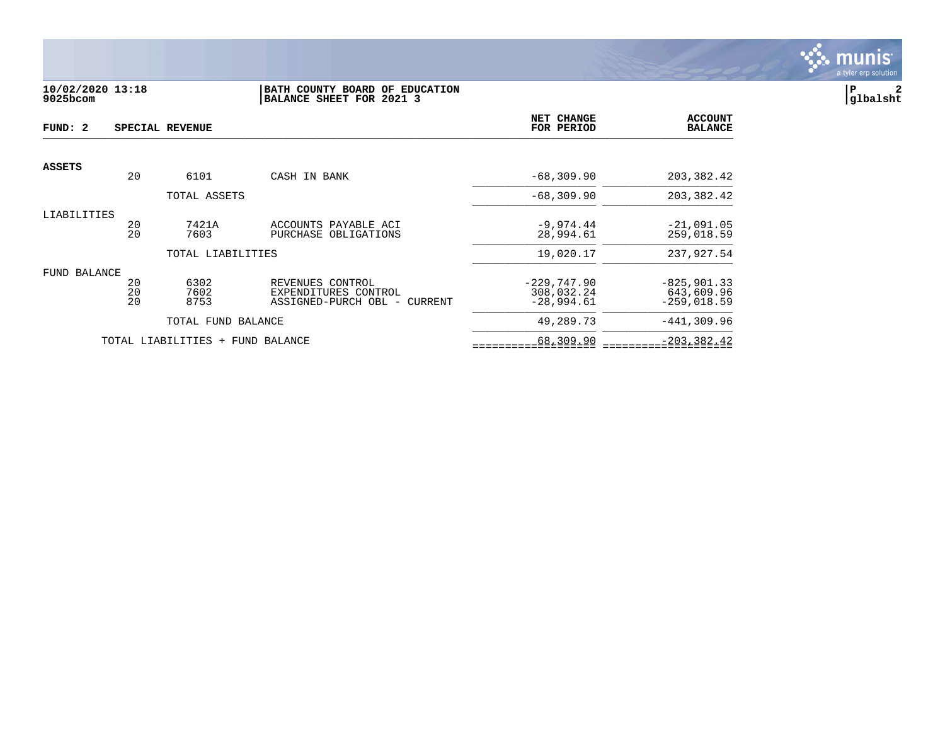

### **10/02/2020 13:18 |BATH COUNTY BOARD OF EDUCATION |P 2 9025bcom |BALANCE SHEET FOR 2021 3 |glbalsht**

| FUND: 2             |                | SPECIAL REVENUE                  |                                                                          | NET CHANGE<br>FOR PERIOD                    | <b>ACCOUNT</b><br><b>BALANCE</b>              |
|---------------------|----------------|----------------------------------|--------------------------------------------------------------------------|---------------------------------------------|-----------------------------------------------|
|                     |                |                                  |                                                                          |                                             |                                               |
| <b>ASSETS</b>       | 20             | 6101                             | CASH IN BANK                                                             | $-68, 309.90$                               | 203, 382.42                                   |
|                     |                | TOTAL ASSETS                     |                                                                          | $-68,309.90$                                | 203, 382.42                                   |
| LIABILITIES         | 20<br>20       | 7421A<br>7603                    | ACCOUNTS PAYABLE ACI<br>PURCHASE OBLIGATIONS                             | $-9,974.44$<br>28,994.61                    | $-21,091.05$<br>259,018.59                    |
|                     |                | TOTAL LIABILITIES                |                                                                          | 19,020.17                                   | 237,927.54                                    |
| <b>FUND BALANCE</b> | 20<br>20<br>20 | 6302<br>7602<br>8753             | REVENUES CONTROL<br>EXPENDITURES CONTROL<br>ASSIGNED-PURCH OBL - CURRENT | $-229,747.90$<br>308,032.24<br>$-28,994.61$ | $-825, 901.33$<br>643,609.96<br>$-259,018.59$ |
|                     |                | TOTAL FUND BALANCE               |                                                                          | 49,289.73                                   | $-441,309.96$                                 |
|                     |                | TOTAL LIABILITIES + FUND BALANCE |                                                                          | 68,309.90                                   | $-203, 382.42$                                |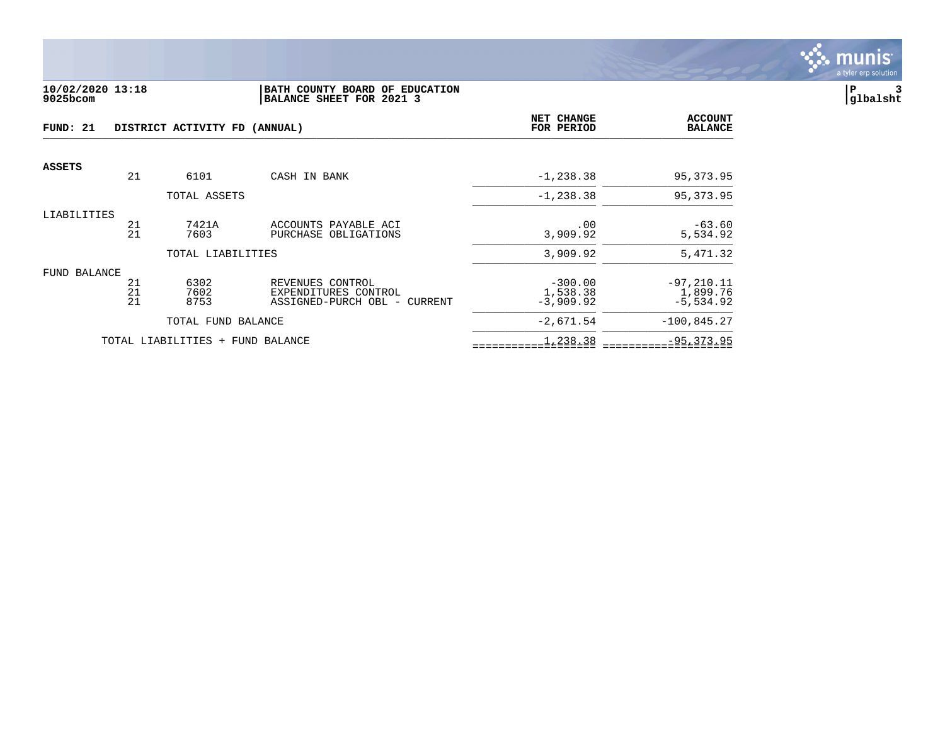

#### **10/02/2020 13:18 |BATH COUNTY BOARD OF EDUCATION |P 3 9025bcom |BALANCE SHEET FOR 2021 3 |glbalsht**

| FUND: 21<br>DISTRICT ACTIVITY FD (ANNUAL) |                |                                  |                                                                          | <b>NET CHANGE</b><br>FOR PERIOD      | <b>ACCOUNT</b><br><b>BALANCE</b>         |
|-------------------------------------------|----------------|----------------------------------|--------------------------------------------------------------------------|--------------------------------------|------------------------------------------|
| ASSETS                                    | 21             |                                  |                                                                          |                                      |                                          |
|                                           |                | 6101                             | CASH IN BANK                                                             | $-1, 238.38$                         | 95,373.95                                |
|                                           |                | TOTAL ASSETS                     |                                                                          | $-1, 238.38$                         | 95, 373.95                               |
| LIABILITIES                               | 21<br>21       | 7421A<br>7603                    | ACCOUNTS PAYABLE ACI<br>PURCHASE OBLIGATIONS                             | .00<br>3,909.92                      | $-63.60$<br>5,534.92                     |
|                                           |                | TOTAL LIABILITIES                |                                                                          | 3,909.92                             | 5,471.32                                 |
| FUND BALANCE                              | 21<br>21<br>21 | 6302<br>7602<br>8753             | REVENUES CONTROL<br>EXPENDITURES CONTROL<br>ASSIGNED-PURCH OBL - CURRENT | $-300.00$<br>1,538.38<br>$-3,909.92$ | $-97, 210.11$<br>1,899.76<br>$-5,534.92$ |
|                                           |                | TOTAL FUND BALANCE               |                                                                          | $-2,671.54$                          | $-100,845.27$                            |
|                                           |                | TOTAL LIABILITIES + FUND BALANCE |                                                                          | 1,238.38                             | $-95, 373.95$                            |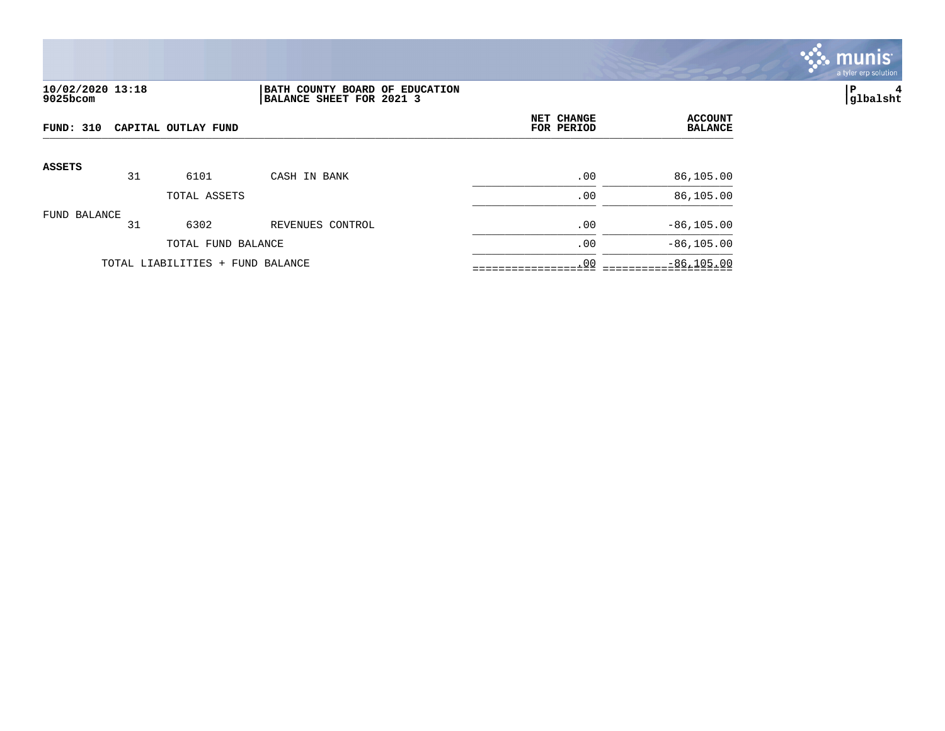

## **10/02/2020 13:18 |BATH COUNTY BOARD OF EDUCATION |P 4 9025bcom |BALANCE SHEET FOR 2021 3 |glbalsht**

| FUND: 310     |    | CAPITAL OUTLAY FUND              |                  | NET CHANGE<br>FOR PERIOD | <b>ACCOUNT</b><br><b>BALANCE</b> |
|---------------|----|----------------------------------|------------------|--------------------------|----------------------------------|
| <b>ASSETS</b> | 31 | 6101                             | CASH IN BANK     | .00                      | 86,105.00                        |
|               |    | TOTAL ASSETS                     |                  | .00                      | 86,105.00                        |
| FUND BALANCE  | 31 | 6302                             | REVENUES CONTROL | .00                      | $-86, 105.00$                    |
|               |    | TOTAL FUND BALANCE               |                  | .00                      | $-86, 105.00$                    |
|               |    | TOTAL LIABILITIES + FUND BALANCE |                  | .00                      | $-86, 105.00$                    |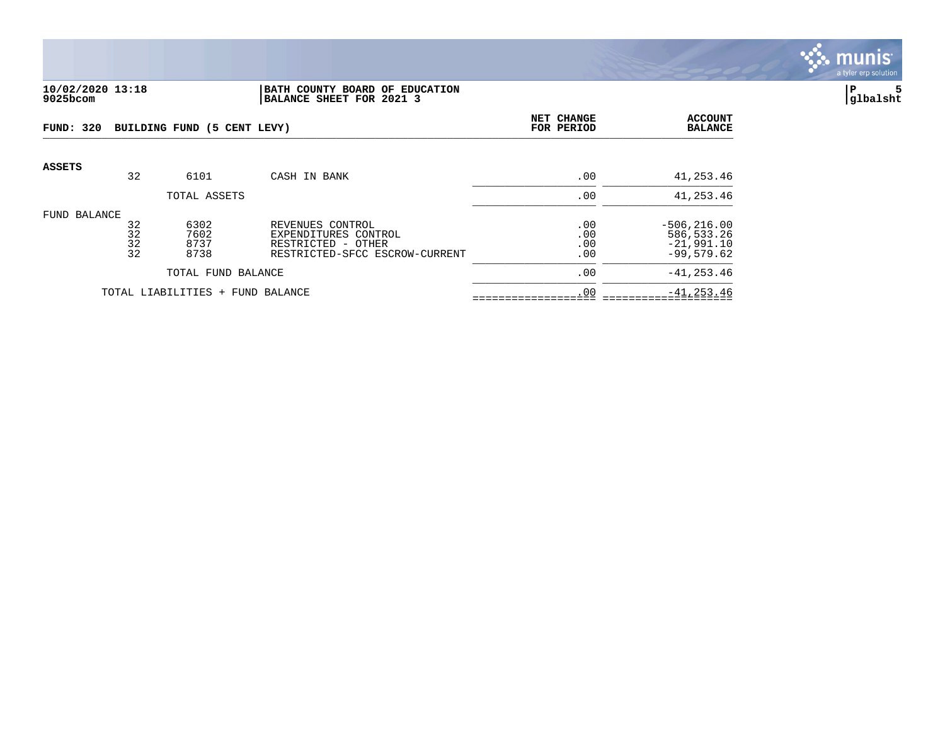

#### **10/02/2020 13:18 |BATH COUNTY BOARD OF EDUCATION |P 5 9025bcom |BALANCE SHEET FOR 2021 3 |glbalsht**

| FUND: 320     |                      | BUILDING FUND (5 CENT LEVY)  |                                                                                                  | NET CHANGE<br>FOR PERIOD | <b>ACCOUNT</b><br><b>BALANCE</b>                             |
|---------------|----------------------|------------------------------|--------------------------------------------------------------------------------------------------|--------------------------|--------------------------------------------------------------|
| <b>ASSETS</b> | 32                   | 6101                         | CASH IN BANK                                                                                     | .00                      | 41,253.46                                                    |
|               |                      | TOTAL ASSETS                 |                                                                                                  | .00                      | 41,253.46                                                    |
| FUND BALANCE  | 32<br>32<br>32<br>32 | 6302<br>7602<br>8737<br>8738 | REVENUES CONTROL<br>EXPENDITURES CONTROL<br>RESTRICTED - OTHER<br>RESTRICTED-SFCC ESCROW-CURRENT | .00<br>.00<br>.00<br>.00 | $-506, 216.00$<br>586,533.26<br>$-21,991.10$<br>$-99.579.62$ |
|               |                      | TOTAL FUND BALANCE           |                                                                                                  | .00                      | $-41, 253.46$                                                |
|               |                      | TOTAL LIABILITIES +          | FUND BALANCE                                                                                     | .00                      | $-41, 253.46$                                                |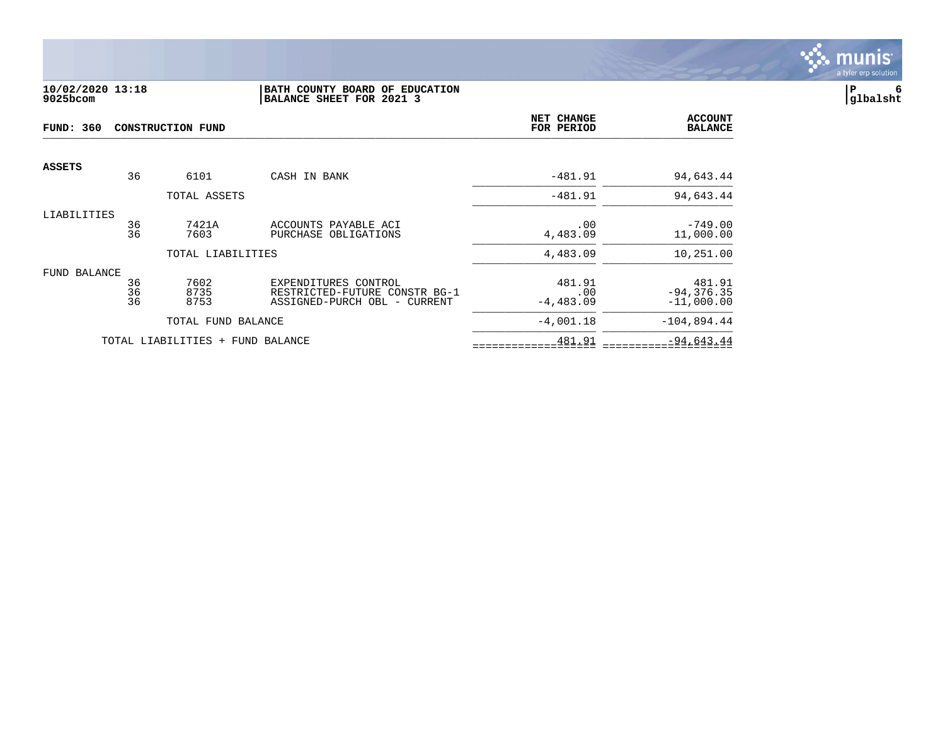

### **10/02/2020 13:18 |BATH COUNTY BOARD OF EDUCATION |P 6 9025bcom |BALANCE SHEET FOR 2021 3 |glbalsht**

| <b>FUND: 360</b><br><b>CONSTRUCTION FUND</b> |                |                                  | NET CHANGE<br>FOR PERIOD                                                              | <b>ACCOUNT</b><br><b>BALANCE</b> |                                         |
|----------------------------------------------|----------------|----------------------------------|---------------------------------------------------------------------------------------|----------------------------------|-----------------------------------------|
| <b>ASSETS</b>                                | 36             | 6101                             | CASH IN BANK                                                                          | $-481.91$                        | 94,643.44                               |
|                                              |                | TOTAL ASSETS                     |                                                                                       | $-481.91$                        | 94,643.44                               |
| LIABILITIES                                  | 36<br>36       | 7421A<br>7603                    | ACCOUNTS PAYABLE ACI<br>PURCHASE OBLIGATIONS                                          | .00<br>4,483.09                  | $-749.00$<br>11,000.00                  |
|                                              |                | TOTAL LIABILITIES                |                                                                                       | 4,483.09                         | 10,251.00                               |
| FUND BALANCE                                 | 36<br>36<br>36 | 7602<br>8735<br>8753             | EXPENDITURES CONTROL<br>RESTRICTED-FUTURE CONSTR BG-1<br>ASSIGNED-PURCH OBL - CURRENT | 481.91<br>.00<br>$-4,483.09$     | 481.91<br>$-94, 376.35$<br>$-11,000.00$ |
|                                              |                | TOTAL FUND BALANCE               |                                                                                       | $-4,001.18$                      | $-104,894.44$                           |
|                                              |                | TOTAL LIABILITIES + FUND BALANCE |                                                                                       | 481.91                           | $-94,643.44$                            |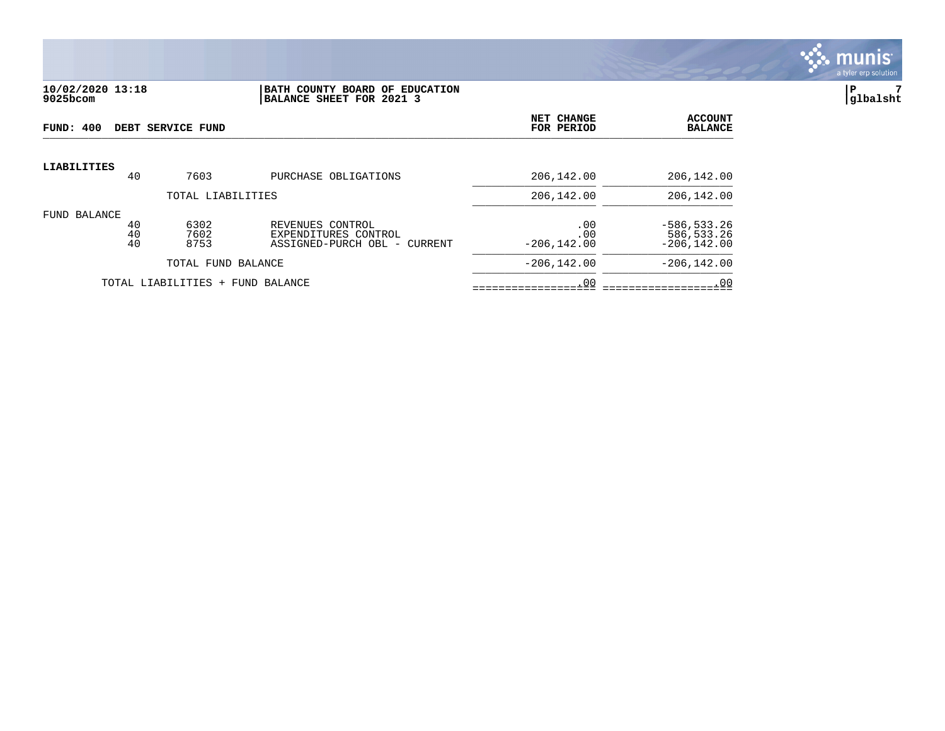

#### **10/02/2020 13:18 |BATH COUNTY BOARD OF EDUCATION |P 7 9025bcom |BALANCE SHEET FOR 2021 3 |glbalsht**

| FUND: 400          |                | DEBT SERVICE FUND                |                                                                             | NET CHANGE<br>FOR PERIOD     | <b>ACCOUNT</b><br><b>BALANCE</b>               |
|--------------------|----------------|----------------------------------|-----------------------------------------------------------------------------|------------------------------|------------------------------------------------|
| <b>LIABILITIES</b> | 40             | 7603                             | PURCHASE OBLIGATIONS                                                        | 206,142.00                   | 206,142.00                                     |
|                    |                | TOTAL LIABILITIES                |                                                                             | 206,142.00                   | 206,142.00                                     |
| FUND BALANCE       | 40<br>40<br>40 | 6302<br>7602<br>8753             | REVENUES CONTROL<br>EXPENDITURES CONTROL<br>ASSIGNED-PURCH OBL -<br>CURRENT | .00<br>.00<br>$-206, 142.00$ | $-586, 533.26$<br>586,533.26<br>$-206, 142.00$ |
|                    |                | TOTAL FUND BALANCE               |                                                                             | $-206.142.00$                | $-206.142.00$                                  |
|                    |                | TOTAL LIABILITIES + FUND BALANCE |                                                                             | .00                          | .00                                            |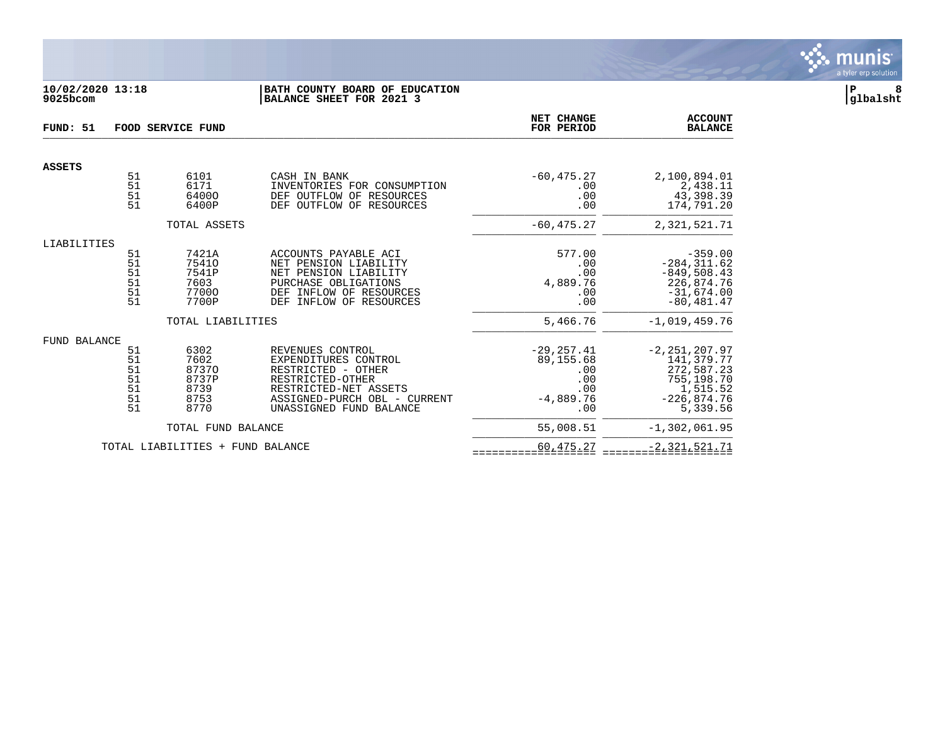

## **10/02/2020 13:18 |BATH COUNTY BOARD OF EDUCATION |P 8 9025bcom |BALANCE SHEET FOR 2021 3 |glbalsht**

| FUND: 51      |                                        | <b>FOOD SERVICE FUND</b>                               |                                                                                                                                                                        | NET CHANGE<br>FOR PERIOD                                              | <b>ACCOUNT</b><br><b>BALANCE</b>                                                                     |
|---------------|----------------------------------------|--------------------------------------------------------|------------------------------------------------------------------------------------------------------------------------------------------------------------------------|-----------------------------------------------------------------------|------------------------------------------------------------------------------------------------------|
| <b>ASSETS</b> |                                        |                                                        |                                                                                                                                                                        |                                                                       |                                                                                                      |
|               | 51<br>51<br>51<br>51                   | 6101<br>6171<br>64000<br>6400P                         | CASH IN BANK<br>INVENTORIES FOR CONSUMPTION<br>DEF OUTFLOW OF<br>RESOURCES<br>DEF OUTFLOW OF<br>RESOURCES                                                              | $-60, 475.27$<br>.00<br>.00<br>.00                                    | 2,100,894.01<br>2,438.11<br>43,398.39<br>174,791.20                                                  |
|               |                                        | TOTAL ASSETS                                           |                                                                                                                                                                        | $-60, 475.27$                                                         | 2,321,521.71                                                                                         |
| LIABILITIES   | 51<br>51<br>51<br>51<br>51<br>51       | 7421A<br>75410<br>7541P<br>7603<br>77000<br>7700P      | ACCOUNTS PAYABLE ACI<br>NET PENSION LIABILITY<br>NET PENSION LIABILITY<br>PURCHASE OBLIGATIONS<br>DEF INFLOW OF RESOURCES<br>INFLOW OF RESOURCES<br>DEF                | 577.00<br>.00<br>.00<br>4,889.76<br>.00<br>.00                        | $-359.00$<br>$-284, 311.62$<br>$-849,508.43$<br>226,874.76<br>$-31,674.00$<br>$-80, 481.47$          |
|               |                                        | TOTAL LIABILITIES                                      |                                                                                                                                                                        | 5,466.76                                                              | $-1,019,459.76$                                                                                      |
| FUND BALANCE  | 51<br>51<br>51<br>51<br>51<br>51<br>51 | 6302<br>7602<br>87370<br>8737P<br>8739<br>8753<br>8770 | REVENUES CONTROL<br>EXPENDITURES CONTROL<br>RESTRICTED - OTHER<br>RESTRICTED-OTHER<br>RESTRICTED-NET ASSETS<br>ASSIGNED-PURCH OBL - CURRENT<br>UNASSIGNED FUND BALANCE | $-29, 257.41$<br>89,155.68<br>.00<br>.00<br>.00<br>$-4,889.76$<br>.00 | $-2, 251, 207.97$<br>141,379.77<br>272,587.23<br>755,198.70<br>1,515.52<br>$-226,874.76$<br>5,339.56 |
|               |                                        | TOTAL FUND BALANCE                                     |                                                                                                                                                                        | 55,008.51                                                             | $-1,302,061.95$                                                                                      |
|               |                                        | TOTAL LIABILITIES + FUND BALANCE                       |                                                                                                                                                                        | 60,475.27                                                             | $-2,321,521.71$                                                                                      |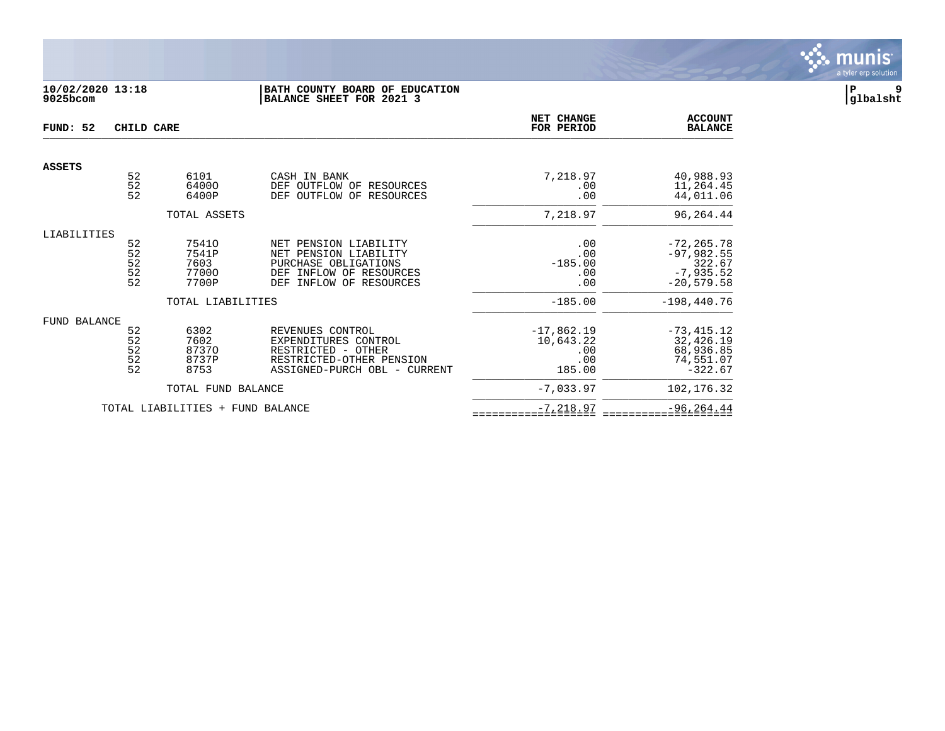

## **10/02/2020 13:18 |BATH COUNTY BOARD OF EDUCATION |P 9 9025bcom |BALANCE SHEET FOR 2021 3 |glbalsht**

| FUND: 52      | CHILD CARE                                                |                                          |                                                                                                                                           | NET CHANGE<br>FOR PERIOD                          | <b>ACCOUNT</b><br><b>BALANCE</b>                                       |
|---------------|-----------------------------------------------------------|------------------------------------------|-------------------------------------------------------------------------------------------------------------------------------------------|---------------------------------------------------|------------------------------------------------------------------------|
| <b>ASSETS</b> |                                                           |                                          |                                                                                                                                           |                                                   |                                                                        |
|               | 52<br>$\frac{5}{2}$                                       | 6101<br>64000<br>6400P                   | CASH IN BANK<br>OUTFLOW OF<br>DEF<br>RESOURCES<br><b>DEF</b><br>OUTFLOW OF<br>RESOURCES                                                   | 7,218.97<br>.00<br>.00                            | 40,988.93<br>11,264.45<br>44,011.06                                    |
|               |                                                           | TOTAL ASSETS                             |                                                                                                                                           | 7,218.97                                          | 96,264.44                                                              |
| LIABILITIES   | 52<br>52<br>52<br>$\begin{array}{c} 52 \\ 52 \end{array}$ | 75410<br>7541P<br>7603<br>77000<br>7700P | NET PENSION LIABILITY<br>NET PENSION LIABILITY<br>PURCHASE OBLIGATIONS<br>INFLOW OF RESOURCES<br><b>DEF</b><br>INFLOW OF RESOURCES<br>DEF | .00<br>.00<br>$-185.00$<br>.00<br>.00             | $-72, 265.78$<br>$-97,982.55$<br>322.67<br>$-7,935.52$<br>$-20,579.58$ |
|               |                                                           | TOTAL LIABILITIES                        |                                                                                                                                           | $-185.00$                                         | $-198,440.76$                                                          |
| FUND BALANCE  | 52<br>52<br>$\frac{52}{52}$<br>52                         | 6302<br>7602<br>87370<br>8737P<br>8753   | REVENUES CONTROL<br>EXPENDITURES CONTROL<br>RESTRICTED - OTHER<br>RESTRICTED-OTHER PENSION<br>ASSIGNED-PURCH OBL - CURRENT                | $-17,862.19$<br>10,643.22<br>.00<br>.00<br>185.00 | $-73, 415.12$<br>32,426.19<br>68,936.85<br>74,551.07<br>$-322.67$      |
|               |                                                           | TOTAL FUND BALANCE                       |                                                                                                                                           | $-7,033.97$                                       | 102, 176.32                                                            |
|               |                                                           | TOTAL LIABILITIES +                      | FUND BALANCE                                                                                                                              | $-7, 218.97$                                      | $-96, 264.44$                                                          |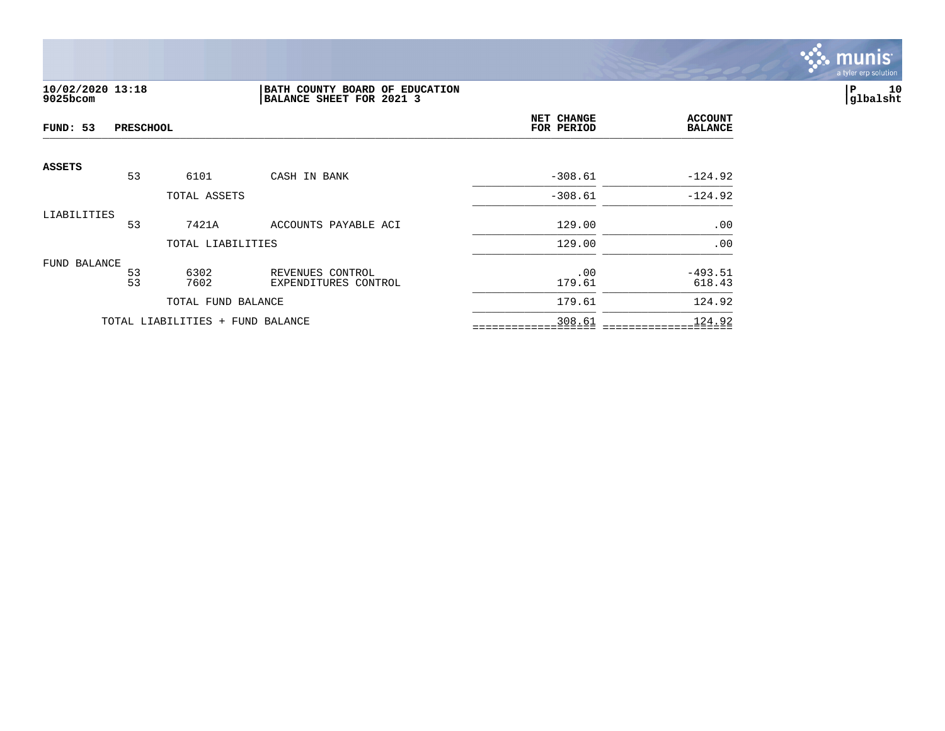

## **10/02/2020 13:18 |BATH COUNTY BOARD OF EDUCATION |P 10 9025bcom |BALANCE SHEET FOR 2021 3 |glbalsht**

| FUND: 53     | <b>PRESCHOOL</b> |                                  |                                          | NET CHANGE<br>FOR PERIOD | <b>ACCOUNT</b><br><b>BALANCE</b> |
|--------------|------------------|----------------------------------|------------------------------------------|--------------------------|----------------------------------|
| ASSETS       | 53               | 6101                             | CASH IN BANK                             | $-308.61$                | $-124.92$                        |
|              |                  | TOTAL ASSETS                     |                                          | $-308.61$                | $-124.92$                        |
| LIABILITIES  | 53               | 7421A                            | ACCOUNTS PAYABLE ACI                     | 129.00                   | .00                              |
|              |                  | TOTAL LIABILITIES                |                                          | 129.00                   | .00                              |
| FUND BALANCE | 53<br>53         | 6302<br>7602                     | REVENUES CONTROL<br>EXPENDITURES CONTROL | .00<br>179.61            | $-493.51$<br>618.43              |
|              |                  | TOTAL FUND BALANCE               |                                          | 179.61                   | 124.92                           |
|              |                  | TOTAL LIABILITIES + FUND BALANCE |                                          | 308.61                   | 124.92                           |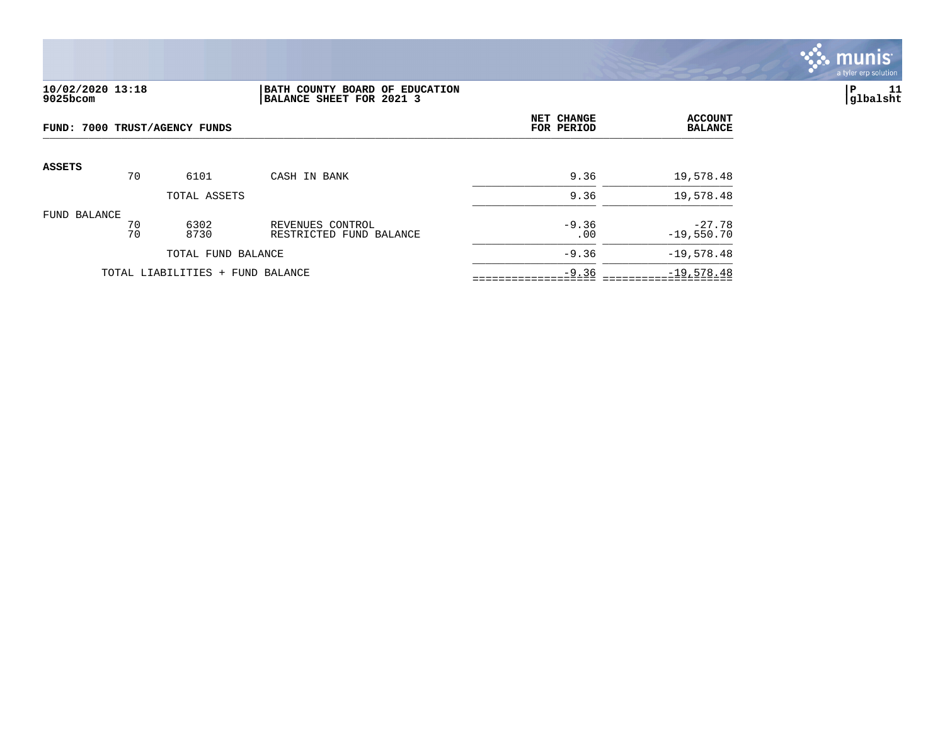

## **10/02/2020 13:18 |BATH COUNTY BOARD OF EDUCATION |P 11 9025bcom |BALANCE SHEET FOR 2021 3 |glbalsht**

| FUND: 7000 TRUST/AGENCY FUNDS |          |                                  | NET CHANGE<br>FOR PERIOD                    | <b>ACCOUNT</b><br><b>BALANCE</b> |                          |
|-------------------------------|----------|----------------------------------|---------------------------------------------|----------------------------------|--------------------------|
| <b>ASSETS</b>                 | 70       | 6101                             | CASH IN BANK                                | 9.36                             | 19,578.48                |
|                               |          | TOTAL ASSETS                     |                                             | 9.36                             | 19,578.48                |
| FUND BALANCE                  | 70<br>70 | 6302<br>8730                     | REVENUES CONTROL<br>RESTRICTED FUND BALANCE | $-9.36$<br>.00                   | $-27.78$<br>$-19,550.70$ |
|                               |          | TOTAL FUND BALANCE               |                                             | $-9.36$                          | $-19,578.48$             |
|                               |          | TOTAL LIABILITIES + FUND BALANCE |                                             | $-9.36$                          | $-19,578.48$             |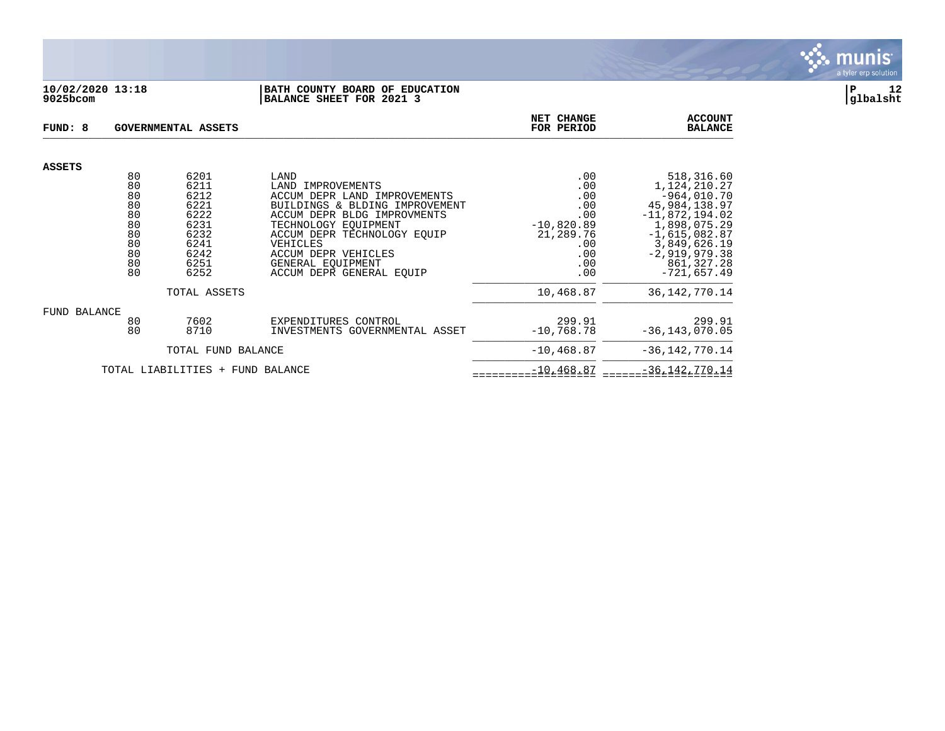

### **10/02/2020 13:18 |BATH COUNTY BOARD OF EDUCATION |P 12 9025bcom |BALANCE SHEET FOR 2021 3 |glbalsht**

| FUND: 8       |                                                                | GOVERNMENTAL ASSETS                                                                  | NET CHANGE<br>FOR PERIOD                                                                                                                                                                                                                                                 | <b>ACCOUNT</b><br><b>BALANCE</b>                                                         |                                                                                                                                                                                       |
|---------------|----------------------------------------------------------------|--------------------------------------------------------------------------------------|--------------------------------------------------------------------------------------------------------------------------------------------------------------------------------------------------------------------------------------------------------------------------|------------------------------------------------------------------------------------------|---------------------------------------------------------------------------------------------------------------------------------------------------------------------------------------|
| <b>ASSETS</b> |                                                                |                                                                                      |                                                                                                                                                                                                                                                                          |                                                                                          |                                                                                                                                                                                       |
|               | 80<br>80<br>80<br>80<br>80<br>80<br>80<br>80<br>80<br>80<br>80 | 6201<br>6211<br>6212<br>6221<br>6222<br>6231<br>6232<br>6241<br>6242<br>6251<br>6252 | LAND<br>LAND<br>IMPROVEMENTS<br>ACCUM DEPR LAND IMPROVEMENTS<br>BUILDINGS & BLDING IMPROVEMENT<br>ACCUM DEPR BLDG IMPROVMENTS<br>TECHNOLOGY EOUIPMENT<br>ACCUM DEPR TECHNOLOGY EOUIP<br>VEHICLES<br>ACCUM DEPR VEHICLES<br>GENERAL EOUIPMENT<br>ACCUM DEPR GENERAL EOUIP | .00<br>.00<br>.00<br>.00<br>.00<br>$-10,820.89$<br>21,289.76<br>.00<br>.00<br>.00<br>.00 | 518,316.60<br>1,124,210.27<br>$-964,010.70$<br>45,984,138.97<br>$-11,872,194.02$<br>1,898,075.29<br>$-1,615,082.87$<br>3,849,626.19<br>$-2,919,979.38$<br>861,327.28<br>$-721,657.49$ |
|               |                                                                | TOTAL ASSETS                                                                         |                                                                                                                                                                                                                                                                          | 10,468.87                                                                                | 36, 142, 770. 14                                                                                                                                                                      |
| FUND BALANCE  | 80<br>80                                                       | 7602<br>8710                                                                         | EXPENDITURES CONTROL<br>INVESTMENTS GOVERNMENTAL ASSET                                                                                                                                                                                                                   | 299.91<br>$-10,768.78$                                                                   | 299.91<br>$-36, 143, 070.05$                                                                                                                                                          |
|               |                                                                | TOTAL FUND BALANCE                                                                   |                                                                                                                                                                                                                                                                          | $-10, 468.87$                                                                            | $-36, 142, 770.14$                                                                                                                                                                    |
|               |                                                                | TOTAL LIABILITIES + FUND BALANCE                                                     |                                                                                                                                                                                                                                                                          | $-10, 468.87$                                                                            | $-36, 142, 770.14$                                                                                                                                                                    |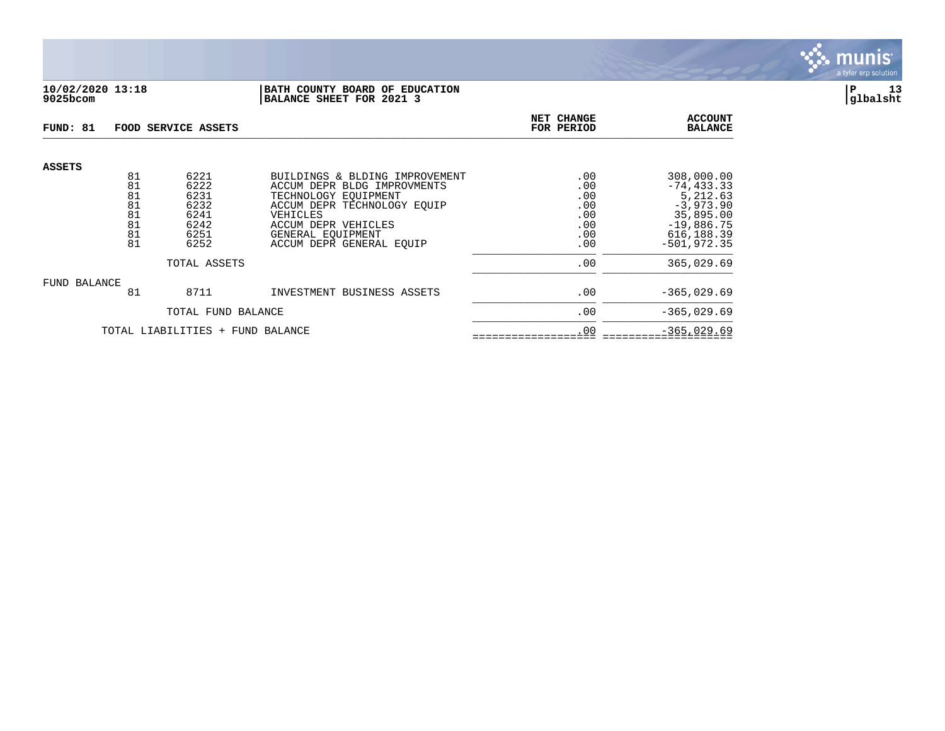

### **10/02/2020 13:18 |BATH COUNTY BOARD OF EDUCATION |P 13 9025bcom |BALANCE SHEET FOR 2021 3 |glbalsht**

| FUND: 81                         |                                  | FOOD SERVICE ASSETS                          |                                                                                                                                            | NET CHANGE<br>FOR PERIOD               | <b>ACCOUNT</b><br><b>BALANCE</b>                                                     |
|----------------------------------|----------------------------------|----------------------------------------------|--------------------------------------------------------------------------------------------------------------------------------------------|----------------------------------------|--------------------------------------------------------------------------------------|
| <b>ASSETS</b>                    | 81                               | 6221                                         | BUILDINGS & BLDING IMPROVEMENT                                                                                                             | .00                                    | 308,000.00                                                                           |
|                                  | 81<br>81<br>81<br>81<br>81<br>81 | 6222<br>6231<br>6232<br>6241<br>6242<br>6251 | ACCUM DEPR BLDG IMPROVMENTS<br>TECHNOLOGY EQUIPMENT<br>ACCUM DEPR TECHNOLOGY EOUIP<br>VEHICLES<br>ACCUM DEPR VEHICLES<br>GENERAL EOUIPMENT | .00<br>.00<br>.00<br>.00<br>.00<br>.00 | $-74, 433.33$<br>5,212.63<br>$-3,973.90$<br>35,895.00<br>$-19,886.75$<br>616, 188.39 |
|                                  | 81                               | 6252<br>TOTAL ASSETS                         | ACCUM DEPR GENERAL EOUIP                                                                                                                   | .00<br>.00                             | $-501.972.35$<br>365,029.69                                                          |
| FUND BALANCE                     | 81                               | 8711                                         | INVESTMENT BUSINESS ASSETS                                                                                                                 | .00                                    | $-365,029.69$                                                                        |
|                                  |                                  | TOTAL FUND BALANCE                           |                                                                                                                                            | .00                                    | $-365,029.69$                                                                        |
| TOTAL LIABILITIES + FUND BALANCE |                                  |                                              |                                                                                                                                            | .00                                    | $-365,029.69$                                                                        |